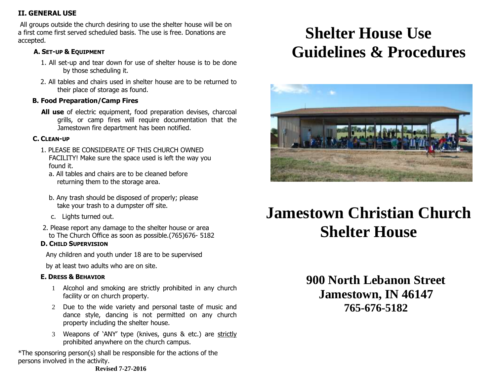### **II. GENERAL USE**

All groups outside the church desiring to use the shelter house will be on a first come first served scheduled basis. The use is free. Donations are accepted.

### **A. SET-UP & EQUIPMENT**

- 1. All set-up and tear down for use of shelter house is to be done by those scheduling it.
- 2. All tables and chairs used in shelter house are to be returned to their place of storage as found.

### **B. Food Preparation/Camp Fires**

 **All use** of electric equipment, food preparation devises, charcoal grills, or camp fires will require documentation that the Jamestown fire department has been notified.

#### **C. CLEAN-UP**

- 1. PLEASE BE CONSIDERATE OF THIS CHURCH OWNED FACILITY! Make sure the space used is left the way you found it.
	- a. All tables and chairs are to be cleaned before returning them to the storage area.
	- b. Any trash should be disposed of properly; please take your trash to a dumpster off site.
	- c. Lights turned out.
- 2. Please report any damage to the shelter house or area to The Church Office as soon as possible.(765)676- 5182

### **D. CHILD SUPERVISION**

Any children and youth under 18 are to be supervised

by at least two adults who are on site.

### **E. DRESS & BEHAVIOR**

- 1 Alcohol and smoking are strictly prohibited in any church facility or on church property.
- 2 Due to the wide variety and personal taste of music and dance style, dancing is not permitted on any church property including the shelter house.
- 3 Weapons of 'ANY' type (knives, guns & etc.) are strictly prohibited anywhere on the church campus.

\*The sponsoring person(s) shall be responsible for the actions of the persons involved in the activity.

# **Shelter House Use Guidelines & Procedures**



# **Jamestown Christian Church Shelter House**

 **900 North Lebanon Street Jamestown, IN 46147 765-676-5182**